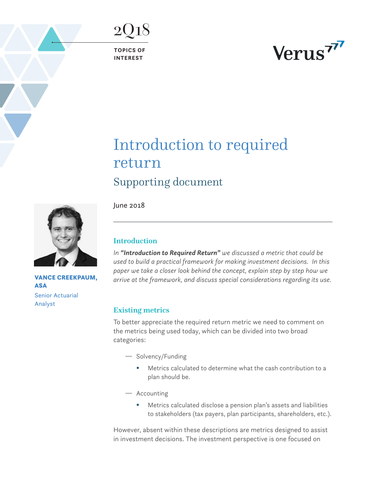**TOPICS OF INTEREST**

2Q18

# Verus<sup>77</sup>

# Introduction to required return Supporting document

June 2018



*In "Introduction to Required Return" we discussed a metric that could be used to build a practical framework for making investment decisions. In this paper we take a closer look behind the concept, explain step by step how we arrive at the framework, and discuss special considerations regarding its use.*

# Existing metrics

To better appreciate the required return metric we need to comment on the metrics being used today, which can be divided into two broad categories:

- Solvency/Funding
	- Metrics calculated to determine what the cash contribution to a plan should be.
- $-$  Accounting
	- Metrics calculated disclose a pension plan's assets and liabilities to stakeholders (tax payers, plan participants, shareholders, etc.).

However, absent within these descriptions are metrics designed to assist in investment decisions. The investment perspective is one focused on



VANCE CREEKPAUM, ASA Senior Actuarial Analyst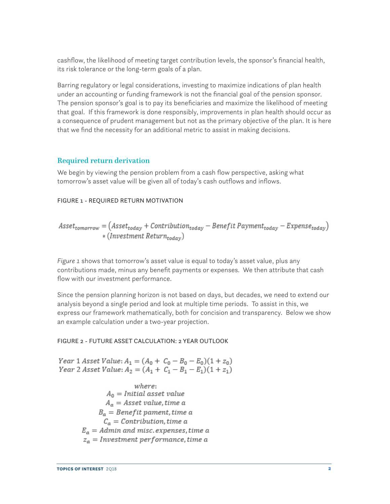cashflow, the likelihood of meeting target contribution levels, the sponsor's financial health, its risk tolerance or the long-term goals of a plan.

Barring regulatory or legal considerations, investing to maximize indications of plan health under an accounting or funding framework is not the financial goal of the pension sponsor. The pension sponsor's goal is to pay its beneficiaries and maximize the likelihood of meeting that goal. If this framework is done responsibly, improvements in plan health should occur as a consequence of prudent management but not as the primary objective of the plan. It is here that we find the necessity for an additional metric to assist in making decisions.

# Required return derivation

We begin by viewing the pension problem from a cash flow perspective, asking what tomorrow's asset value will be given all of today's cash outflows and inflows.

# FIGURE 1 - REQUIRED RETURN MOTIVATION

$$
As set_{tomorrow} = (As set_{today} + Contribution_{today} - Benefit Payment_{today} - Expense_{today})
$$
  
\*(Investment Return<sub>today</sub>)

*Figure 1* shows that tomorrow's asset value is equal to today's asset value, plus any contributions made, minus any benefit payments or expenses. We then attribute that cash flow with our investment performance.

Since the pension planning horizon is not based on days, but decades, we need to extend our analysis beyond a single period and look at multiple time periods. To assist in this, we express our framework mathematically, both for concision and transparency. Below we show an example calculation under a two-year projection.

#### FIGURE 2 - FUTURE ASSET CALCULATION: 2 YEAR OUTLOOK

Year 1 Asset Value:  $A_1 = (A_0 + C_0 - B_0 - E_0)(1 + z_0)$ Year 2 Asset Value:  $A_2 = (A_1 + C_1 - B_1 - E_1)(1 + z_1)$ 

> where:  $A_0 = Initial$  asset value  $A_a =$  Asset value, time a  $B_a = \textit{Benefit}$  pament, time a  $C_a =$  Contribution, time a  $E_a =$  Admin and misc. expenses, time a  $z_a = Investment\, performance, time\, a$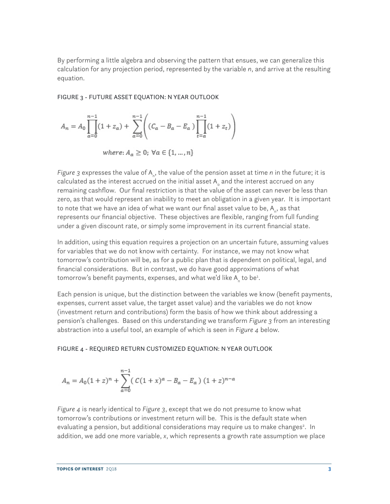By performing a little algebra and observing the pattern that ensues, we can generalize this calculation for any projection period, represented by the variable *n*, and arrive at the resulting equation.

FIGURE 3 - FUTURE ASSET EQUATION: N YEAR OUTLOOK

$$
A_n = A_0 \prod_{a=0}^{n-1} (1 + z_a) + \sum_{a=0}^{n-1} \left( (C_a - B_a - E_a) \prod_{t=a}^{n-1} (1 + z_t) \right)
$$

where: 
$$
A_a \geq 0
$$
;  $\forall a \in \{1, ..., n\}$ 

Figure 3 expresses the value of A<sub>n</sub>, the value of the pension asset at time *n* in the future; it is calculated as the interest accrued on the initial asset A $_{\circ}$  and the interest accrued on any remaining cashflow. Our final restriction is that the value of the asset can never be less than zero, as that would represent an inability to meet an obligation in a given year. It is important to note that we have an idea of what we want our final asset value to be, A<sub>n</sub>, as that represents our financial objective. These objectives are flexible, ranging from full funding under a given discount rate, or simply some improvement in its current financial state.

In addition, using this equation requires a projection on an uncertain future, assuming values for variables that we do not know with certainty. For instance, we may not know what tomorrow's contribution will be, as for a public plan that is dependent on political, legal, and financial considerations. But in contrast, we do have good approximations of what tomorrow's benefit payments, expenses, and what we'd like A<sub>n</sub> to be<del>'</del>.

Each pension is unique, but the distinction between the variables we know (benefit payments, expenses, current asset value, the target asset value) and the variables we do not know (investment return and contributions) form the basis of how we think about addressing a pension's challenges. Based on this understanding we transform *Figure 3* from an interesting abstraction into a useful tool, an example of which is seen in *Figure 4* below.

#### FIGURE 4 - REQUIRED RETURN CUSTOMIZED EQUATION: N YEAR OUTLOOK

$$
A_n=A_0(1+z)^n+\sum_{a=0}^{n-1}\big(\,C(1+x)^a-B_a-E_a\,\big)\,(1+z)^{n-a}
$$

*Figure 4* is nearly identical to *Figure 3*, except that we do not presume to know what tomorrow's contributions or investment return will be. This is the default state when evaluating a pension, but additional considerations may require us to make changes<sup>2</sup>. In addition, we add one more variable, *x*, which represents a growth rate assumption we place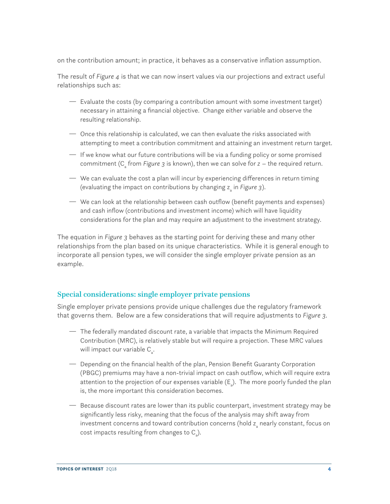on the contribution amount; in practice, it behaves as a conservative inflation assumption.

The result of *Figure 4* is that we can now insert values via our projections and extract useful relationships such as:

- Evaluate the costs (by comparing a contribution amount with some investment target) necessary in attaining a financial objective. Change either variable and observe the resulting relationship.
- $\overline{\phantom{a}}$  Once this relationship is calculated, we can then evaluate the risks associated with attempting to meet a contribution commitment and attaining an investment return target.
- $-$  If we know what our future contributions will be via a funding policy or some promised commitment (C<sub>a</sub> from *Figure* 3 is known), then we can solve for z – the required return.
- $-$  We can evaluate the cost a plan will incur by experiencing differences in return timing (evaluating the impact on contributions by changing z<sub>a</sub> in *Figure* 3).
- $\rightarrow$  We can look at the relationship between cash outflow (benefit payments and expenses) and cash inflow (contributions and investment income) which will have liquidity considerations for the plan and may require an adjustment to the investment strategy.

The equation in *Figure 3* behaves as the starting point for deriving these and many other relationships from the plan based on its unique characteristics. While it is general enough to incorporate all pension types, we will consider the single employer private pension as an example.

# Special considerations: single employer private pensions

Single employer private pensions provide unique challenges due the regulatory framework that governs them. Below are a few considerations that will require adjustments to *Figure 3.*

- The federally mandated discount rate, a variable that impacts the Minimum Required Contribution (MRC), is relatively stable but will require a projection. These MRC values will impact our variable  $C_{\mathsf{a}}^{\vphantom{\dagger}}$ .
- <sup>1</sup> Depending on the financial health of the plan, Pension Benefit Guaranty Corporation (PBGC) premiums may have a non-trivial impact on cash outflow, which will require extra attention to the projection of our expenses variable (E<sub>a</sub>). The more poorly funded the plan is, the more important this consideration becomes.
- <sup>2</sup> Because discount rates are lower than its public counterpart, investment strategy may be significantly less risky, meaning that the focus of the analysis may shift away from investment concerns and toward contribution concerns (hold  $\textsf{z}_\textsf{a}$  nearly constant, focus on cost impacts resulting from changes to  $C_{a}$ ).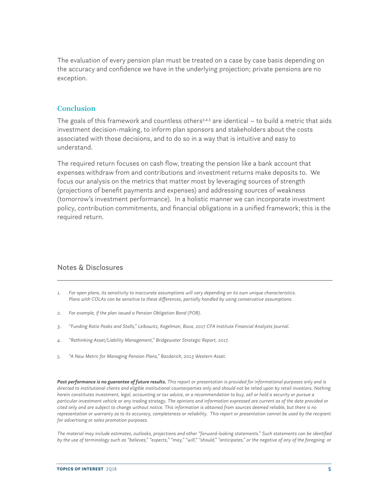The evaluation of every pension plan must be treated on a case by case basis depending on the accuracy and confidence we have in the underlying projection; private pensions are no exception.

### **Conclusion**

The goals of this framework and countless others $3,4,5$  are identical  $-$  to build a metric that aids investment decision-making, to inform plan sponsors and stakeholders about the costs associated with those decisions, and to do so in a way that is intuitive and easy to understand.

The required return focuses on cash flow, treating the pension like a bank account that expenses withdraw from and contributions and investment returns make deposits to. We focus our analysis on the metrics that matter most by leveraging sources of strength (projections of benefit payments and expenses) and addressing sources of weakness (tomorrow's investment performance). In a holistic manner we can incorporate investment policy, contribution commitments, and financial obligations in a unified framework; this is the required return.

# Notes & Disclosures

- *1. For open plans, its sensitivity to inaccurate assumptions will vary depending on its own unique characteristics. Plans with COLAs can be sensitive to these differences, partially handled by using conservative assumptions.*
- *2. For example, if the plan issued a Pension Obligation Bond (POB).*
- *3. "Funding Ratio Peaks and Stalls," Leibowitz, Kogelman, Bova, 2017 CFA Institute Financial Analysts Journal.*
- *4. "Rethinking Asset/Liability Management," Bridgewater Strategic Report, 2017.*
- *5. "A New Metric for Managing Pension Plans," Bazdarich, 2013 Western Asset.*

*Past performance is no guarantee of future results. This report or presentation is provided for informational purposes only and is directed to institutional clients and eligible institutional counterparties only and should not be relied upon by retail investors. Nothing herein constitutes investment, legal, accounting or tax advice, or a recommendation to buy, sell or hold a security or pursue a particular investment vehicle or any trading strategy. The opinions and information expressed are current as of the date provided or cited only and are subject to change without notice. This information is obtained from sources deemed reliable, but there is no representation or warranty as to its accuracy, completeness or reliability. This report or presentation cannot be used by the recipient for advertising or sales promotion purposes.* 

*The material may include estimates, outlooks, projections and other "forward-looking statements." Such statements can be identified by the use of terminology such as "believes," "expects," "may," "will," "should," "anticipates," or the negative of any of the foregoing or*